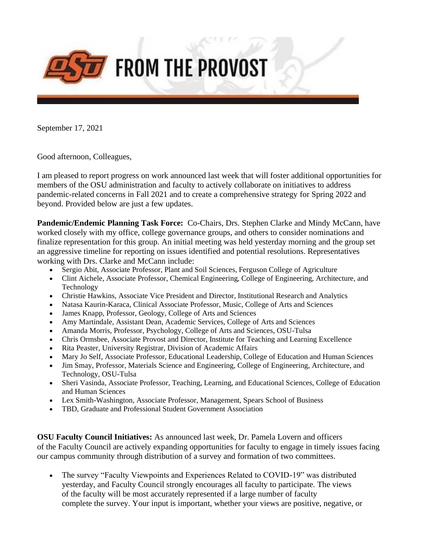

September 17, 2021

Good afternoon, Colleagues,

I am pleased to report progress on work announced last week that will foster additional opportunities for members of the OSU administration and faculty to actively collaborate on initiatives to address pandemic-related concerns in Fall 2021 and to create a comprehensive strategy for Spring 2022 and beyond. Provided below are just a few updates.

**Pandemic/Endemic Planning Task Force:** Co-Chairs, Drs. Stephen Clarke and Mindy McCann, have worked closely with my office, college governance groups, and others to consider nominations and finalize representation for this group. An initial meeting was held yesterday morning and the group set an aggressive timeline for reporting on issues identified and potential resolutions. Representatives working with Drs. Clarke and McCann include:

- Sergio Abit, Associate Professor, Plant and Soil Sciences, Ferguson College of Agriculture
- Clint Aichele, Associate Professor, Chemical Engineering, College of Engineering, Architecture, and Technology
- Christie Hawkins, Associate Vice President and Director, Institutional Research and Analytics
- Natasa Kaurin-Karaca, Clinical Associate Professor, Music, College of Arts and Sciences
- James Knapp, Professor, Geology, College of Arts and Sciences
- Amy Martindale, Assistant Dean, Academic Services, College of Arts and Sciences
- Amanda Morris, Professor, Psychology, College of Arts and Sciences, OSU-Tulsa
- Chris Ormsbee, Associate Provost and Director, Institute for Teaching and Learning Excellence
- Rita Peaster, University Registrar, Division of Academic Affairs
- Mary Jo Self, Associate Professor, Educational Leadership, College of Education and Human Sciences
- Jim Smay, Professor, Materials Science and Engineering, College of Engineering, Architecture, and Technology, OSU-Tulsa
- Sheri Vasinda, Associate Professor, Teaching, Learning, and Educational Sciences, College of Education and Human Sciences
- Lex Smith-Washington, Associate Professor, Management, Spears School of Business
- TBD, Graduate and Professional Student Government Association

**OSU Faculty Council Initiatives:** As announced last week, Dr. Pamela Lovern and officers of the Faculty Council are actively expanding opportunities for faculty to engage in timely issues facing our campus community through distribution of a survey and formation of two committees.

• The survey "Faculty Viewpoints and Experiences Related to COVID-19" was distributed yesterday, and Faculty Council strongly encourages all faculty to participate. The views of the faculty will be most accurately represented if a large number of faculty complete the survey. Your input is important, whether your views are positive, negative, or